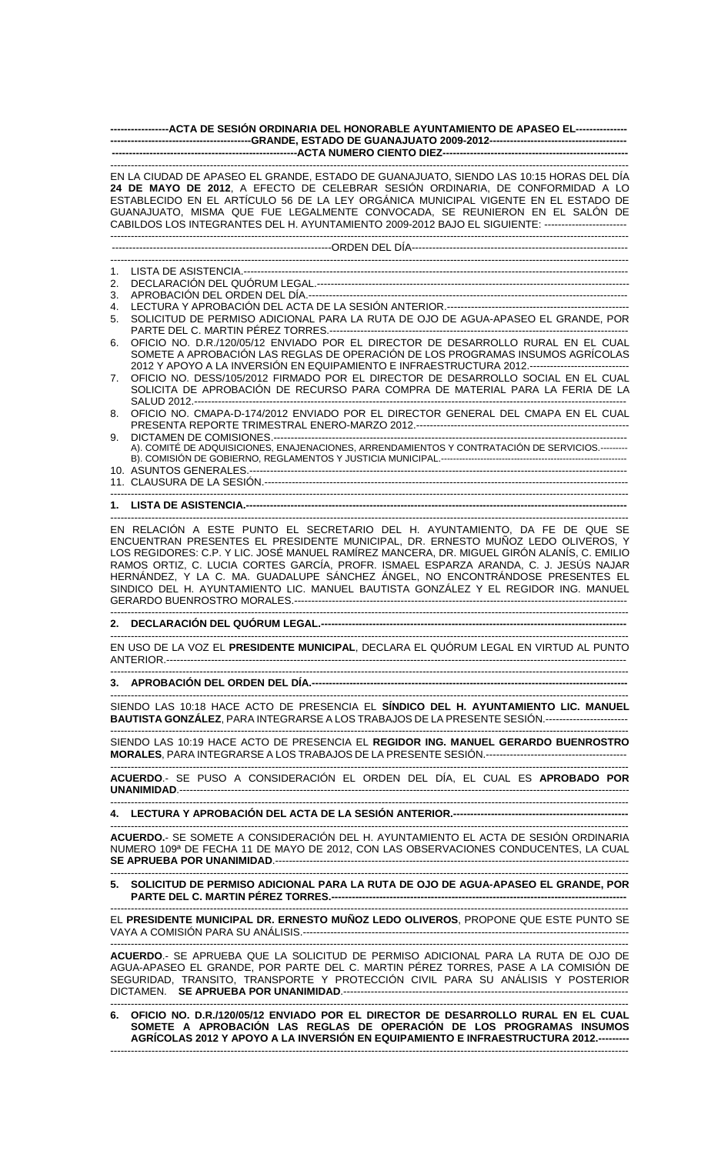| ------------------ACTA DE SESIÓN ORDINARIA DEL HONORABLE AYUNTAMIENTO DE APASEO EL----------------                                                                                                                                                                                                                                                                                                                                                                                                                           |
|------------------------------------------------------------------------------------------------------------------------------------------------------------------------------------------------------------------------------------------------------------------------------------------------------------------------------------------------------------------------------------------------------------------------------------------------------------------------------------------------------------------------------|
| EN LA CIUDAD DE APASEO EL GRANDE, ESTADO DE GUANAJUATO, SIENDO LAS 10:15 HORAS DEL DÍA<br>24 DE MAYO DE 2012, A EFECTO DE CELEBRAR SESIÓN ORDINARIA, DE CONFORMIDAD A LO<br>ESTABLECIDO EN EL ARTÍCULO 56 DE LA LEY ORGÁNICA MUNICIPAL VIGENTE EN EL ESTADO DE<br>GUANAJUATO, MISMA QUE FUE LEGALMENTE CONVOCADA, SE REUNIERON EN EL SALÓN DE<br>CABILDOS LOS INTEGRANTES DEL H. AYUNTAMIENTO 2009-2012 BAJO EL SIGUIENTE: ------------------------                                                                          |
|                                                                                                                                                                                                                                                                                                                                                                                                                                                                                                                              |
|                                                                                                                                                                                                                                                                                                                                                                                                                                                                                                                              |
| 1.                                                                                                                                                                                                                                                                                                                                                                                                                                                                                                                           |
| 2.<br>3.                                                                                                                                                                                                                                                                                                                                                                                                                                                                                                                     |
| 4.<br>SOLICITUD DE PERMISO ADICIONAL PARA LA RUTA DE OJO DE AGUA-APASEO EL GRANDE, POR<br>5.                                                                                                                                                                                                                                                                                                                                                                                                                                 |
| OFICIO NO. D.R./120/05/12 ENVIADO POR EL DIRECTOR DE DESARROLLO RURAL EN EL CUAL<br>6.<br>SOMETE A APROBACIÓN LAS REGLAS DE OPERACIÓN DE LOS PROGRAMAS INSUMOS AGRÍCOLAS<br>2012 Y APOYO A LA INVERSIÓN EN EQUIPAMIENTO E INFRAESTRUCTURA 2012.-----------------------------                                                                                                                                                                                                                                                 |
| OFICIO NO. DESS/105/2012 FIRMADO POR EL DIRECTOR DE DESARROLLO SOCIAL EN EL CUAL<br>7.<br>SOLICITA DE APROBACIÓN DE RECURSO PARA COMPRA DE MATERIAL PARA LA FERIA DE LA                                                                                                                                                                                                                                                                                                                                                      |
| OFICIO NO. CMAPA-D-174/2012 ENVIADO POR EL DIRECTOR GENERAL DEL CMAPA EN EL CUAL<br>8.<br>9.                                                                                                                                                                                                                                                                                                                                                                                                                                 |
| A). COMITÉ DE ADQUISICIONES, ENAJENACIONES, ARRENDAMIENTOS Y CONTRATACIÓN DE SERVICIOS.--------                                                                                                                                                                                                                                                                                                                                                                                                                              |
|                                                                                                                                                                                                                                                                                                                                                                                                                                                                                                                              |
|                                                                                                                                                                                                                                                                                                                                                                                                                                                                                                                              |
| EN RELACIÓN A ESTE PUNTO EL SECRETARIO DEL H. AYUNTAMIENTO, DA FE DE QUE SE<br>ENCUENTRAN PRESENTES EL PRESIDENTE MUNICIPAL, DR. ERNESTO MUÑOZ LEDO OLIVEROS, Y<br>LOS REGIDORES: C.P. Y LIC. JOSÉ MANUEL RAMÍREZ MANCERA, DR. MIGUEL GIRÓN ALANÍS, C. EMILIO<br>RAMOS ORTIZ, C. LUCIA CORTES GARCÍA, PROFR. ISMAEL ESPARZA ARANDA, C. J. JESÚS NAJAR<br>HERNÁNDEZ, Y LA C. MA. GUADALUPE SÁNCHEZ ÁNGEL, NO ENCONTRÁNDOSE PRESENTES EL<br>SINDICO DEL H. AYUNTAMIENTO LIC. MANUEL BAUTISTA GONZÁLEZ Y EL REGIDOR ING. MANUEL |
|                                                                                                                                                                                                                                                                                                                                                                                                                                                                                                                              |
| EN USO DE LA VOZ EL PRESIDENTE MUNICIPAL, DECLARA EL QUÓRUM LEGAL EN VIRTUD AL PUNTO                                                                                                                                                                                                                                                                                                                                                                                                                                         |
|                                                                                                                                                                                                                                                                                                                                                                                                                                                                                                                              |
| SIENDO LAS 10:18 HACE ACTO DE PRESENCIA EL SÍNDICO DEL H. AYUNTAMIENTO LIC. MANUEL<br>BAUTISTA GONZÁLEZ, PARA INTEGRARSE A LOS TRABAJOS DE LA PRESENTE SESIÓN.------------------------                                                                                                                                                                                                                                                                                                                                       |
| SIENDO LAS 10:19 HACE ACTO DE PRESENCIA EL REGIDOR ING. MANUEL GERARDO BUENROSTRO                                                                                                                                                                                                                                                                                                                                                                                                                                            |
| ACUERDO.- SE PUSO A CONSIDERACIÓN EL ORDEN DEL DÍA, EL CUAL ES APROBADO POR                                                                                                                                                                                                                                                                                                                                                                                                                                                  |
|                                                                                                                                                                                                                                                                                                                                                                                                                                                                                                                              |
| ACUERDO.- SE SOMETE A CONSIDERACIÓN DEL H. AYUNTAMIENTO EL ACTA DE SESIÓN ORDINARIA<br>NUMERO 109ª DE FECHA 11 DE MAYO DE 2012, CON LAS OBSERVACIONES CONDUCENTES, LA CUAL                                                                                                                                                                                                                                                                                                                                                   |
| 5. SOLICITUD DE PERMISO ADICIONAL PARA LA RUTA DE OJO DE AGUA-APASEO EL GRANDE, POR                                                                                                                                                                                                                                                                                                                                                                                                                                          |
| EL PRESIDENTE MUNICIPAL DR. ERNESTO MUÑOZ LEDO OLIVEROS, PROPONE QUE ESTE PUNTO SE                                                                                                                                                                                                                                                                                                                                                                                                                                           |
| <b>ACUERDO.- SE APRUEBA QUE LA SOLICITUD DE PERMISO ADICIONAL PARA LA RUTA DE OJO DE</b><br>ACHA-APASEO EL CRANDE POR PARTE DEL C. MARTIN PÉREZ TORRES, PASE A LA COMISIÓN DE                                                                                                                                                                                                                                                                                                                                                |

AGUA-APASEO EL GRANDE, POR PARTE DEL C. MARTIN PÉREZ TORRES, PASE A LA COMISIÓN DE SEGURIDAD, TRANSITO, TRANSPORTE Y PROTECCIÓN CIVIL PARA SU ANÁLISIS Y POSTERIOR DICTAMEN. **SE APRUEBA POR UNANIMIDAD**.----------------------------------------------------------------------------------- -------------------------------------------------------------------------------------------------------------------------------------------------------

## **6. OFICIO NO. D.R./120/05/12 ENVIADO POR EL DIRECTOR DE DESARROLLO RURAL EN EL CUAL SOMETE A APROBACIÓN LAS REGLAS DE OPERACIÓN DE LOS PROGRAMAS INSUMOS AGRÍCOLAS 2012 Y APOYO A LA INVERSIÓN EN EQUIPAMIENTO E INFRAESTRUCTURA 2012.---------**  -------------------------------------------------------------------------------------------------------------------------------------------------------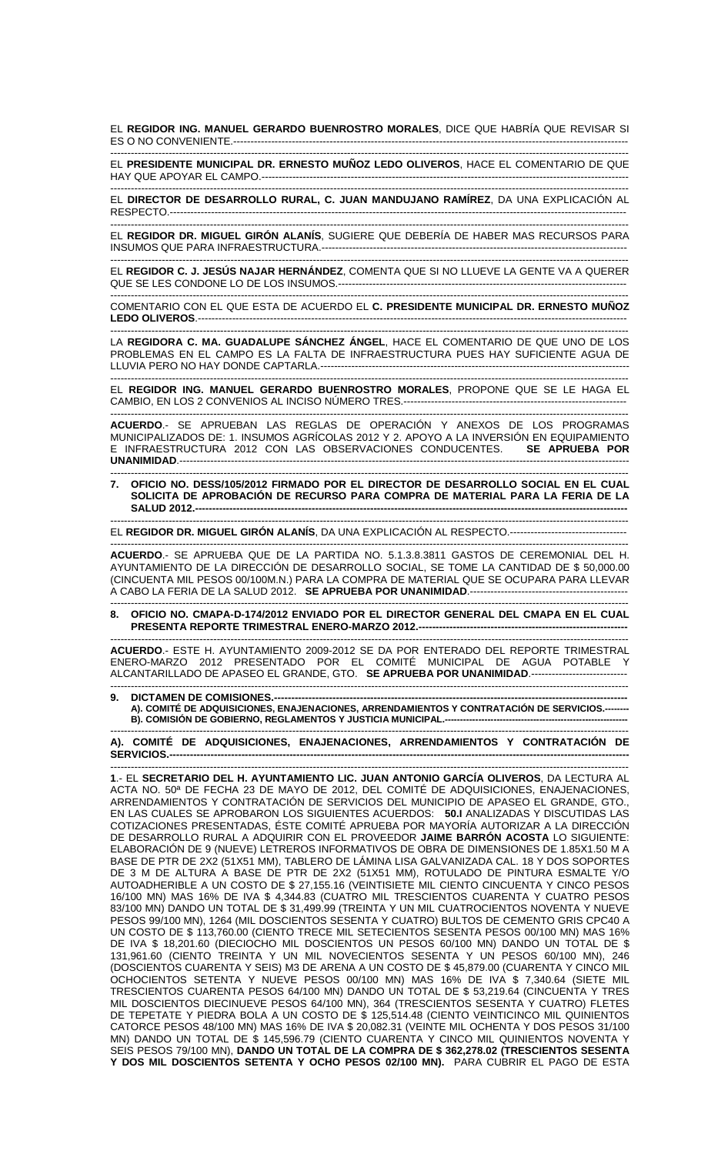EL **REGIDOR ING. MANUEL GERARDO BUENROSTRO MORALES**, DICE QUE HABRÍA QUE REVISAR SI ES O NO CONVENIENTE.--------------------

------------------------------------------------------------------------------------------------------------------------------------------------------- EL **PRESIDENTE MUNICIPAL DR. ERNESTO MUÑOZ LEDO OLIVEROS**, HACE EL COMENTARIO DE QUE HAY QUE APOYAR EL CAMPO.-----------------------------------------------------------------------------------------------------------

------------------------------------------------------------------------------------------------------------------------------------------------------- EL **DIRECTOR DE DESARROLLO RURAL, C. JUAN MANDUJANO RAMÍREZ**, DA UNA EXPLICACIÓN AL RESPECTO.-------------------------------------------------------------------------------------------------------------------------------------

------------------------------------------------------------------------------------------------------------------------------------------------------- EL **REGIDOR DR. MIGUEL GIRÓN ALANÍS**, SUGIERE QUE DEBERÍA DE HABER MAS RECURSOS PARA INSUMOS QUE PARA INFRAESTRUCTURA.----------------------------------------------------------------------------------------- -------------------------------------------------------------------------------------------------------------------------------------------------------

EL **REGIDOR C. J. JESÚS NAJAR HERNÁNDEZ**, COMENTA QUE SI NO LLUEVE LA GENTE VA A QUERER QUE SE LES CONDONE LO DE LOS INSUMOS.------------------------------------------------------------------------------------ -------------------------------------------------------------------------------------------------------------------------------------------------------

COMENTARIO CON EL QUE ESTA DE ACUERDO EL **C. PRESIDENTE MUNICIPAL DR. ERNESTO MUÑOZ**  LEDO OLIVEROS.----

------------------------------------------------------------------------------------------------------------------------------------------------------- LA **REGIDORA C. MA. GUADALUPE SÁNCHEZ ÁNGEL**, HACE EL COMENTARIO DE QUE UNO DE LOS PROBLEMAS EN EL CAMPO ES LA FALTA DE INFRAESTRUCTURA PUES HAY SUFICIENTE AGUA DE LLUVIA PERO NO HAY DONDE CAPTARLA.----

------------------------------------------------------------------------------------------------------------------------------------------------------- EL **REGIDOR ING. MANUEL GERARDO BUENROSTRO MORALES**, PROPONE QUE SE LE HAGA EL CAMBIO, EN LOS 2 CONVENIOS AL INCISO NÚMERO TRES.-----------------------------------------------------------------

-------------------------------------------------------------------------------------------------------------------------------------------------------

**ACUERDO**.- SE APRUEBAN LAS REGLAS DE OPERACIÓN Y ANEXOS DE LOS PROGRAMAS MUNICIPALIZADOS DE: 1. INSUMOS AGRÍCOLAS 2012 Y 2. APOYO A LA INVERSIÓN EN EQUIPAMIENTO E INFRAESTRUCTURA 2012 CON LAS OBSERVACIONES CONDUCENTES. **SE APRUEBA POR UNANIMIDAD**.-----------------------------------------------------------------------------------------------------------------------------------

------------------------------------------------------------------------------------------------------------------------------------------------------- **7. OFICIO NO. DESS/105/2012 FIRMADO POR EL DIRECTOR DE DESARROLLO SOCIAL EN EL CUAL SOLICITA DE APROBACIÓN DE RECURSO PARA COMPRA DE MATERIAL PARA LA FERIA DE LA SALUD 2012.------------------------------------------------------------------------------------------------------------------------------** 

------------------------------------------------------------------------------------------------------------------------------------------------------- EL **REGIDOR DR. MIGUEL GIRÓN ALANÍS**, DA UNA EXPLICACIÓN AL RESPECTO.----------------------------------

------------------------------------------------------------------------------------------------------------------------------------------------------- **ACUERDO**.- SE APRUEBA QUE DE LA PARTIDA NO. 5.1.3.8.3811 GASTOS DE CEREMONIAL DEL H. AYUNTAMIENTO DE LA DIRECCIÓN DE DESARROLLO SOCIAL, SE TOME LA CANTIDAD DE \$ 50,000.00 (CINCUENTA MIL PESOS 00/100M.N.) PARA LA COMPRA DE MATERIAL QUE SE OCUPARA PARA LLEVAR A CABO LA FERIA DE LA SALUD 2012. **SE APRUEBA POR UNANIMIDAD**.----------------------------------------------

------------------------------------------------------------------------------------------------------------------------------------------------------- **8. OFICIO NO. CMAPA-D-174/2012 ENVIADO POR EL DIRECTOR GENERAL DEL CMAPA EN EL CUAL PRESENTA REPORTE TRIMESTRAL ENERO-MARZO 2012.---**

------------------------------------------------------------------------------------------------------------------------------------------------------- **ACUERDO**.- ESTE H. AYUNTAMIENTO 2009-2012 SE DA POR ENTERADO DEL REPORTE TRIMESTRAL ENERO-MARZO 2012 PRESENTADO POR EL COMITÉ MUNICIPAL DE AGUA POTABLE Y ALCANTARILLADO DE APASEO EL GRANDE, GTO. **SE APRUEBA POR UNANIMIDAD**.---------------------------- -------------------------------------------------------------------------------------------------------------------------------------------------------

**9. DICTAMEN DE COMISIONES.--**

**A). COMITÉ DE ADQUISICIONES, ENAJENACIONES, ARRENDAMIENTOS Y CONTRATACIÓN DE SERVICIOS.-------- B). COMISIÓN DE GOBIERNO, REGLAMENTOS Y JUSTICIA MUNICIPAL.------------------------------------------------------------** 

------------------------------------------------------------------------------------------------------------------------------------------------------- **A). COMITÉ DE ADQUISICIONES, ENAJENACIONES, ARRENDAMIENTOS Y CONTRATACIÓN DE SERVICIOS.--------------------------------------------------------------------------------------------------------------------------------------** 

------------------------------------------------------------------------------------------------------------------------------------------------------- **1**.- EL **SECRETARIO DEL H. AYUNTAMIENTO LIC. JUAN ANTONIO GARCÍA OLIVEROS**, DA LECTURA AL ACTA NO. 50ª DE FECHA 23 DE MAYO DE 2012, DEL COMITÉ DE ADQUISICIONES, ENAJENACIONES, ARRENDAMIENTOS Y CONTRATACIÓN DE SERVICIOS DEL MUNICIPIO DE APASEO EL GRANDE, GTO., EN LAS CUALES SE APROBARON LOS SIGUIENTES ACUERDOS: **50.I** ANALIZADAS Y DISCUTIDAS LAS COTIZACIONES PRESENTADAS, ÉSTE COMITÉ APRUEBA POR MAYORÍA AUTORIZAR A LA DIRECCIÓN DE DESARROLLO RURAL A ADQUIRIR CON EL PROVEEDOR **JAIME BARRÓN ACOSTA** LO SIGUIENTE: ELABORACIÓN DE 9 (NUEVE) LETREROS INFORMATIVOS DE OBRA DE DIMENSIONES DE 1.85X1.50 M A BASE DE PTR DE 2X2 (51X51 MM), TABLERO DE LÁMINA LISA GALVANIZADA CAL. 18 Y DOS SOPORTES DE 3 M DE ALTURA A BASE DE PTR DE 2X2 (51X51 MM), ROTULADO DE PINTURA ESMALTE Y/O AUTOADHERIBLE A UN COSTO DE \$ 27,155.16 (VEINTISIETE MIL CIENTO CINCUENTA Y CINCO PESOS 16/100 MN) MAS 16% DE IVA \$ 4,344.83 (CUATRO MIL TRESCIENTOS CUARENTA Y CUATRO PESOS 83/100 MN) DANDO UN TOTAL DE \$ 31,499.99 (TREINTA Y UN MIL CUATROCIENTOS NOVENTA Y NUEVE PESOS 99/100 MN), 1264 (MIL DOSCIENTOS SESENTA Y CUATRO) BULTOS DE CEMENTO GRIS CPC40 A UN COSTO DE \$ 113,760.00 (CIENTO TRECE MIL SETECIENTOS SESENTA PESOS 00/100 MN) MAS 16% DE IVA \$ 18,201.60 (DIECIOCHO MIL DOSCIENTOS UN PESOS 60/100 MN) DANDO UN TOTAL DE \$ 131,961.60 (CIENTO TREINTA Y UN MIL NOVECIENTOS SESENTA Y UN PESOS 60/100 MN), 246 (DOSCIENTOS CUARENTA Y SEIS) M3 DE ARENA A UN COSTO DE \$ 45,879.00 (CUARENTA Y CINCO MIL OCHOCIENTOS SETENTA Y NUEVE PESOS 00/100 MN) MAS 16% DE IVA \$ 7,340.64 (SIETE MIL TRESCIENTOS CUARENTA PESOS 64/100 MN) DANDO UN TOTAL DE \$ 53,219.64 (CINCUENTA Y TRES MIL DOSCIENTOS DIECINUEVE PESOS 64/100 MN), 364 (TRESCIENTOS SESENTA Y CUATRO) FLETES DE TEPETATE Y PIEDRA BOLA A UN COSTO DE \$ 125,514.48 (CIENTO VEINTICINCO MIL QUINIENTOS CATORCE PESOS 48/100 MN) MAS 16% DE IVA \$ 20,082.31 (VEINTE MIL OCHENTA Y DOS PESOS 31/100 MN) DANDO UN TOTAL DE \$ 145,596.79 (CIENTO CUARENTA Y CINCO MIL QUINIENTOS NOVENTA Y SEIS PESOS 79/100 MN), **DANDO UN TOTAL DE LA COMPRA DE \$ 362,278.02 (TRESCIENTOS SESENTA Y DOS MIL DOSCIENTOS SETENTA Y OCHO PESOS 02/100 MN).** PARA CUBRIR EL PAGO DE ESTA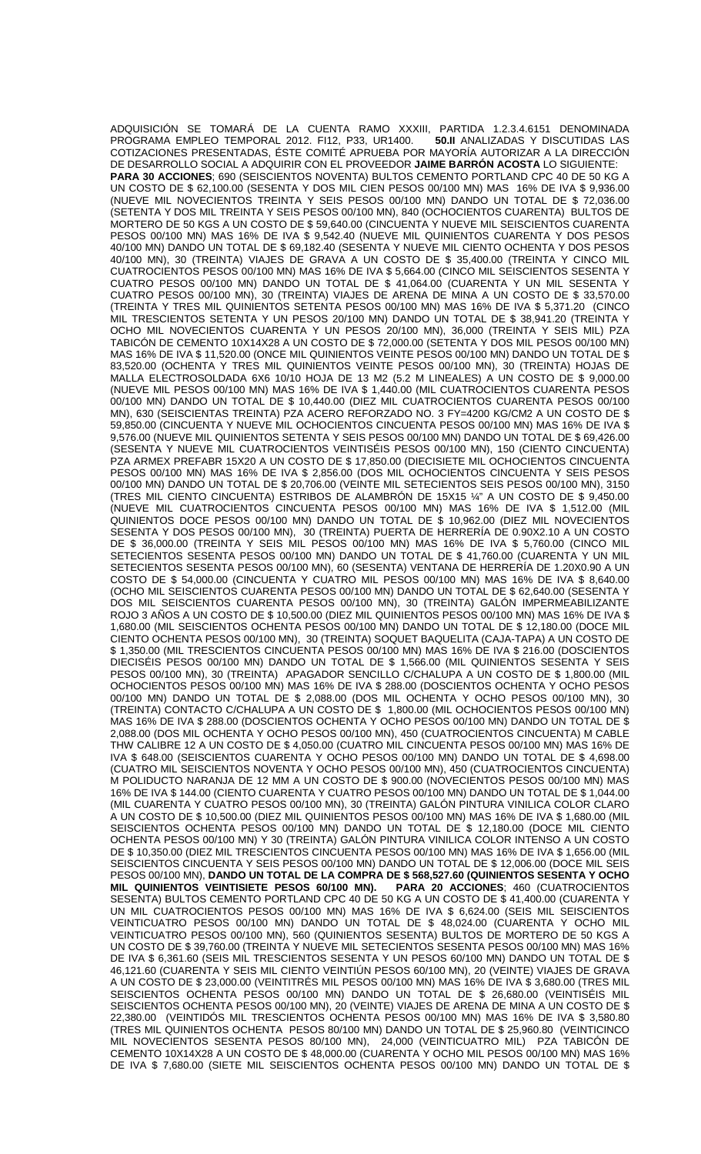ADQUISICIÓN SE TOMARÁ DE LA CUENTA RAMO XXXIII, PARTIDA 1.2.3.4.6151 DENOMINADA<br>PROGRAMA EMPLEO TEMPORAL 2012. FI12, P33, UR1400. **50.II** ANALIZADAS Y DISCUTIDAS LAS PROGRAMA EMPLEO TEMPORAL 2012. FI12, P33, UR1400. **50.II** ANALIZADAS Y DISCUTIDAS LAS COTIZACIONES PRESENTADAS, ÉSTE COMITÉ APRUEBA POR MAYORÍA AUTORIZAR A LA DIRECCIÓN DE DESARROLLO SOCIAL A ADQUIRIR CON EL PROVEEDOR **JAIME BARRÓN ACOSTA** LO SIGUIENTE: **PARA 30 ACCIONES**; 690 (SEISCIENTOS NOVENTA) BULTOS CEMENTO PORTLAND CPC 40 DE 50 KG A UN COSTO DE \$ 62,100.00 (SESENTA Y DOS MIL CIEN PESOS 00/100 MN) MAS 16% DE IVA \$ 9,936.00 (NUEVE MIL NOVECIENTOS TREINTA Y SEIS PESOS 00/100 MN) DANDO UN TOTAL DE \$ 72,036.00 (SETENTA Y DOS MIL TREINTA Y SEIS PESOS 00/100 MN), 840 (OCHOCIENTOS CUARENTA) BULTOS DE MORTERO DE 50 KGS A UN COSTO DE \$ 59,640.00 (CINCUENTA Y NUEVE MIL SEISCIENTOS CUARENTA PESOS 00/100 MN) MAS 16% DE IVA \$ 9,542.40 (NUEVE MIL QUINIENTOS CUARENTA Y DOS PESOS 40/100 MN) DANDO UN TOTAL DE \$ 69,182.40 (SESENTA Y NUEVE MIL CIENTO OCHENTA Y DOS PESOS 40/100 MN), 30 (TREINTA) VIAJES DE GRAVA A UN COSTO DE \$ 35,400.00 (TREINTA Y CINCO MIL CUATROCIENTOS PESOS 00/100 MN) MAS 16% DE IVA \$ 5,664.00 (CINCO MIL SEISCIENTOS SESENTA Y CUATRO PESOS 00/100 MN) DANDO UN TOTAL DE \$ 41,064.00 (CUARENTA Y UN MIL SESENTA Y CUATRO PESOS 00/100 MN), 30 (TREINTA) VIAJES DE ARENA DE MINA A UN COSTO DE \$ 33,570.00 (TREINTA Y TRES MIL QUINIENTOS SETENTA PESOS 00/100 MN) MAS 16% DE IVA \$ 5,371.20 (CINCO MIL TRESCIENTOS SETENTA Y UN PESOS 20/100 MN) DANDO UN TOTAL DE \$ 38,941.20 (TREINTA Y OCHO MIL NOVECIENTOS CUARENTA Y UN PESOS 20/100 MN), 36,000 (TREINTA Y SEIS MIL) PZA TABICÓN DE CEMENTO 10X14X28 A UN COSTO DE \$ 72,000.00 (SETENTA Y DOS MIL PESOS 00/100 MN) MAS 16% DE IVA \$ 11,520.00 (ONCE MIL QUINIENTOS VEINTE PESOS 00/100 MN) DANDO UN TOTAL DE \$ 83,520.00 (OCHENTA Y TRES MIL QUINIENTOS VEINTE PESOS 00/100 MN), 30 (TREINTA) HOJAS DE MALLA ELECTROSOLDADA 6X6 10/10 HOJA DE 13 M2 (5.2 M LINEALES) A UN COSTO DE \$ 9,000.00 (NUEVE MIL PESOS 00/100 MN) MAS 16% DE IVA \$ 1,440.00 (MIL CUATROCIENTOS CUARENTA PESOS 00/100 MN) DANDO UN TOTAL DE \$ 10,440.00 (DIEZ MIL CUATROCIENTOS CUARENTA PESOS 00/100 MN), 630 (SEISCIENTAS TREINTA) PZA ACERO REFORZADO NO. 3 FY=4200 KG/CM2 A UN COSTO DE \$ 59,850.00 (CINCUENTA Y NUEVE MIL OCHOCIENTOS CINCUENTA PESOS 00/100 MN) MAS 16% DE IVA \$ 9,576.00 (NUEVE MIL QUINIENTOS SETENTA Y SEIS PESOS 00/100 MN) DANDO UN TOTAL DE \$ 69,426.00 (SESENTA Y NUEVE MIL CUATROCIENTOS VEINTISÉIS PESOS 00/100 MN), 150 (CIENTO CINCUENTA) PZA ARMEX PREFABR 15X20 A UN COSTO DE \$ 17,850.00 (DIECISIETE MIL OCHOCIENTOS CINCUENTA PESOS 00/100 MN) MAS 16% DE IVA \$ 2,856.00 (DOS MIL OCHOCIENTOS CINCUENTA Y SEIS PESOS 00/100 MN) DANDO UN TOTAL DE \$ 20,706.00 (VEINTE MIL SETECIENTOS SEIS PESOS 00/100 MN), 3150 (TRES MIL CIENTO CINCUENTA) ESTRIBOS DE ALAMBRÓN DE 15X15 ¼" A UN COSTO DE \$ 9,450.00 (NUEVE MIL CUATROCIENTOS CINCUENTA PESOS 00/100 MN) MAS 16% DE IVA \$ 1,512.00 (MIL QUINIENTOS DOCE PESOS 00/100 MN) DANDO UN TOTAL DE \$ 10,962.00 (DIEZ MIL NOVECIENTOS SESENTA Y DOS PESOS 00/100 MN), 30 (TREINTA) PUERTA DE HERRERÍA DE 0.90X2.10 A UN COSTO DE \$ 36,000.00 (TREINTA Y SEIS MIL PESOS 00/100 MN) MAS 16% DE IVA \$ 5,760.00 (CINCO MIL SETECIENTOS SESENTA PESOS 00/100 MN) DANDO UN TOTAL DE \$ 41,760.00 (CUARENTA Y UN MIL SETECIENTOS SESENTA PESOS 00/100 MN), 60 (SESENTA) VENTANA DE HERRERÍA DE 1.20X0.90 A UN COSTO DE \$ 54,000.00 (CINCUENTA Y CUATRO MIL PESOS 00/100 MN) MAS 16% DE IVA \$ 8,640.00 (OCHO MIL SEISCIENTOS CUARENTA PESOS 00/100 MN) DANDO UN TOTAL DE \$ 62,640.00 (SESENTA Y DOS MIL SEISCIENTOS CUARENTA PESOS 00/100 MN), 30 (TREINTA) GALÓN IMPERMEABILIZANTE ROJO 3 AÑOS A UN COSTO DE \$ 10,500.00 (DIEZ MIL QUINIENTOS PESOS 00/100 MN) MAS 16% DE IVA \$ 1,680.00 (MIL SEISCIENTOS OCHENTA PESOS 00/100 MN) DANDO UN TOTAL DE \$ 12,180.00 (DOCE MIL CIENTO OCHENTA PESOS 00/100 MN), 30 (TREINTA) SOQUET BAQUELITA (CAJA-TAPA) A UN COSTO DE \$ 1,350.00 (MIL TRESCIENTOS CINCUENTA PESOS 00/100 MN) MAS 16% DE IVA \$ 216.00 (DOSCIENTOS DIECISÉIS PESOS 00/100 MN) DANDO UN TOTAL DE \$ 1,566.00 (MIL QUINIENTOS SESENTA Y SEIS PESOS 00/100 MN), 30 (TREINTA) APAGADOR SENCILLO C/CHALUPA A UN COSTO DE \$ 1,800.00 (MIL OCHOCIENTOS PESOS 00/100 MN) MAS 16% DE IVA \$ 288.00 (DOSCIENTOS OCHENTA Y OCHO PESOS 00/100 MN) DANDO UN TOTAL DE \$ 2,088.00 (DOS MIL OCHENTA Y OCHO PESOS 00/100 MN), 30 (TREINTA) CONTACTO C/CHALUPA A UN COSTO DE \$ 1,800.00 (MIL OCHOCIENTOS PESOS 00/100 MN) MAS 16% DE IVA \$ 288.00 (DOSCIENTOS OCHENTA Y OCHO PESOS 00/100 MN) DANDO UN TOTAL DE \$ 2,088.00 (DOS MIL OCHENTA Y OCHO PESOS 00/100 MN), 450 (CUATROCIENTOS CINCUENTA) M CABLE THW CALIBRE 12 A UN COSTO DE \$ 4,050.00 (CUATRO MIL CINCUENTA PESOS 00/100 MN) MAS 16% DE IVA \$ 648.00 (SEISCIENTOS CUARENTA Y OCHO PESOS 00/100 MN) DANDO UN TOTAL DE \$ 4,698.00 (CUATRO MIL SEISCIENTOS NOVENTA Y OCHO PESOS 00/100 MN), 450 (CUATROCIENTOS CINCUENTA) M POLIDUCTO NARANJA DE 12 MM A UN COSTO DE \$ 900.00 (NOVECIENTOS PESOS 00/100 MN) MAS 16% DE IVA \$ 144.00 (CIENTO CUARENTA Y CUATRO PESOS 00/100 MN) DANDO UN TOTAL DE \$ 1,044.00 (MIL CUARENTA Y CUATRO PESOS 00/100 MN), 30 (TREINTA) GALÓN PINTURA VINILICA COLOR CLARO A UN COSTO DE \$ 10,500.00 (DIEZ MIL QUINIENTOS PESOS 00/100 MN) MAS 16% DE IVA \$ 1,680.00 (MIL SEISCIENTOS OCHENTA PESOS 00/100 MN) DANDO UN TOTAL DE \$ 12,180.00 (DOCE MIL CIENTO OCHENTA PESOS 00/100 MN) Y 30 (TREINTA) GALÓN PINTURA VINILICA COLOR INTENSO A UN COSTO DE \$ 10,350.00 (DIEZ MIL TRESCIENTOS CINCUENTA PESOS 00/100 MN) MAS 16% DE IVA \$ 1,656.00 (MIL SEISCIENTOS CINCUENTA Y SEIS PESOS 00/100 MN) DANDO UN TOTAL DE \$ 12,006.00 (DOCE MIL SEIS PESOS 00/100 MN), **DANDO UN TOTAL DE LA COMPRA DE \$ 568,527.60 (QUINIENTOS SESENTA Y OCHO MIL QUINIENTOS VEINTISIETE PESOS 60/100 MN). PARA 20 ACCIONES**; 460 (CUATROCIENTOS SESENTA) BULTOS CEMENTO PORTLAND CPC 40 DE 50 KG A UN COSTO DE \$ 41,400.00 (CUARENTA Y UN MIL CUATROCIENTOS PESOS 00/100 MN) MAS 16% DE IVA \$ 6,624.00 (SEIS MIL SEISCIENTOS VEINTICUATRO PESOS 00/100 MN) DANDO UN TOTAL DE \$ 48,024.00 (CUARENTA Y OCHO MIL VEINTICUATRO PESOS 00/100 MN), 560 (QUINIENTOS SESENTA) BULTOS DE MORTERO DE 50 KGS A UN COSTO DE \$ 39,760.00 (TREINTA Y NUEVE MIL SETECIENTOS SESENTA PESOS 00/100 MN) MAS 16% DE IVA \$ 6,361.60 (SEIS MIL TRESCIENTOS SESENTA Y UN PESOS 60/100 MN) DANDO UN TOTAL DE \$ 46,121.60 (CUARENTA Y SEIS MIL CIENTO VEINTIÚN PESOS 60/100 MN), 20 (VEINTE) VIAJES DE GRAVA A UN COSTO DE \$ 23,000.00 (VEINTITRÉS MIL PESOS 00/100 MN) MAS 16% DE IVA \$ 3,680.00 (TRES MIL SEISCIENTOS OCHENTA PESOS 00/100 MN) DANDO UN TOTAL DE \$ 26,680.00 (VEINTISÉIS MIL SEISCIENTOS OCHENTA PESOS 00/100 MN), 20 (VEINTE) VIAJES DE ARENA DE MINA A UN COSTO DE \$ 22,380.00 (VEINTIDÓS MIL TRESCIENTOS OCHENTA PESOS 00/100 MN) MAS 16% DE IVA \$ 3,580.80 (TRES MIL QUINIENTOS OCHENTA PESOS 80/100 MN) DANDO UN TOTAL DE \$ 25,960.80 (VEINTICINCO MIL NOVECIENTOS SESENTA PESOS 80/100 MN), 24,000 (VEINTICUATRO MIL) PZA TABICÓN DE CEMENTO 10X14X28 A UN COSTO DE \$ 48,000.00 (CUARENTA Y OCHO MIL PESOS 00/100 MN) MAS 16% DE IVA \$ 7,680.00 (SIETE MIL SEISCIENTOS OCHENTA PESOS 00/100 MN) DANDO UN TOTAL DE \$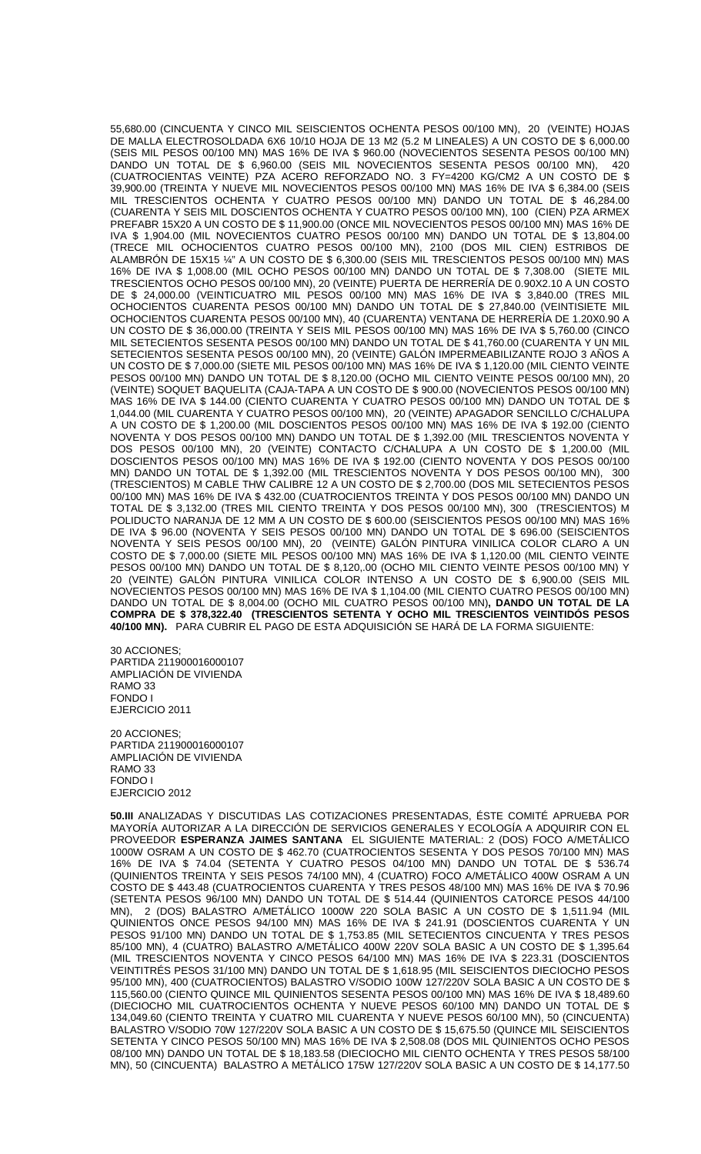55,680.00 (CINCUENTA Y CINCO MIL SEISCIENTOS OCHENTA PESOS 00/100 MN), 20 (VEINTE) HOJAS DE MALLA ELECTROSOLDADA 6X6 10/10 HOJA DE 13 M2 (5.2 M LINEALES) A UN COSTO DE \$ 6,000.00 (SEIS MIL PESOS 00/100 MN) MAS 16% DE IVA \$ 960.00 (NOVECIENTOS SESENTA PESOS 00/100 MN) DANDO UN TOTAL DE \$ 6,960.00 (SEIS MIL NOVECIENTOS SESENTA PESOS 00/100 MN), 420 (CUATROCIENTAS VEINTE) PZA ACERO REFORZADO NO. 3 FY=4200 KG/CM2 A UN COSTO DE \$ 39,900.00 (TREINTA Y NUEVE MIL NOVECIENTOS PESOS 00/100 MN) MAS 16% DE IVA \$ 6,384.00 (SEIS MIL TRESCIENTOS OCHENTA Y CUATRO PESOS 00/100 MN) DANDO UN TOTAL DE \$ 46,284.00 (CUARENTA Y SEIS MIL DOSCIENTOS OCHENTA Y CUATRO PESOS 00/100 MN), 100 (CIEN) PZA ARMEX PREFABR 15X20 A UN COSTO DE \$ 11,900.00 (ONCE MIL NOVECIENTOS PESOS 00/100 MN) MAS 16% DE IVA \$ 1,904.00 (MIL NOVECIENTOS CUATRO PESOS 00/100 MN) DANDO UN TOTAL DE \$ 13,804.00 (TRECE MIL OCHOCIENTOS CUATRO PESOS 00/100 MN), 2100 (DOS MIL CIEN) ESTRIBOS DE ALAMBRON DE 15X15 ¼" A UN COSTO DE \$ 6,300.00 (SEIS MIL TRESCIENTOS PESOS 00/100 MN) MAS 16% DE IVA \$ 1,008.00 (MIL OCHO PESOS 00/100 MN) DANDO UN TOTAL DE \$ 7,308.00 (SIETE MIL TRESCIENTOS OCHO PESOS 00/100 MN), 20 (VEINTE) PUERTA DE HERRERÍA DE 0.90X2.10 A UN COSTO DE \$ 24,000.00 (VEINTICUATRO MIL PESOS 00/100 MN) MAS 16% DE IVA \$ 3,840.00 (TRES MIL OCHOCIENTOS CUARENTA PESOS 00/100 MN) DANDO UN TOTAL DE \$ 27,840.00 (VEINTISIETE MIL OCHOCIENTOS CUARENTA PESOS 00/100 MN), 40 (CUARENTA) VENTANA DE HERRERÍA DE 1.20X0.90 A UN COSTO DE \$ 36,000.00 (TREINTA Y SEIS MIL PESOS 00/100 MN) MAS 16% DE IVA \$ 5,760.00 (CINCO MIL SETECIENTOS SESENTA PESOS 00/100 MN) DANDO UN TOTAL DE \$ 41,760.00 (CUARENTA Y UN MIL SETECIENTOS SESENTA PESOS 00/100 MN), 20 (VEINTE) GALÓN IMPERMEABILIZANTE ROJO 3 AÑOS A UN COSTO DE \$ 7,000.00 (SIETE MIL PESOS 00/100 MN) MAS 16% DE IVA \$ 1,120.00 (MIL CIENTO VEINTE PESOS 00/100 MN) DANDO UN TOTAL DE \$ 8,120.00 (OCHO MIL CIENTO VEINTE PESOS 00/100 MN), 20 (VEINTE) SOQUET BAQUELITA (CAJA-TAPA A UN COSTO DE \$ 900.00 (NOVECIENTOS PESOS 00/100 MN) MAS 16% DE IVA \$ 144.00 (CIENTO CUARENTA Y CUATRO PESOS 00/100 MN) DANDO UN TOTAL DE \$ 1,044.00 (MIL CUARENTA Y CUATRO PESOS 00/100 MN), 20 (VEINTE) APAGADOR SENCILLO C/CHALUPA A UN COSTO DE \$ 1,200.00 (MIL DOSCIENTOS PESOS 00/100 MN) MAS 16% DE IVA \$ 192.00 (CIENTO NOVENTA Y DOS PESOS 00/100 MN) DANDO UN TOTAL DE \$ 1,392.00 (MIL TRESCIENTOS NOVENTA Y DOS PESOS 00/100 MN), 20 (VEINTE) CONTACTO C/CHALUPA A UN COSTO DE \$ 1,200.00 (MIL DOSCIENTOS PESOS 00/100 MN) MAS 16% DE IVA \$ 192.00 (CIENTO NOVENTA Y DOS PESOS 00/100 MN) DANDO UN TOTAL DE \$ 1,392.00 (MIL TRESCIENTOS NOVENTA Y DOS PESOS 00/100 MN), 300 (TRESCIENTOS) M CABLE THW CALIBRE 12 A UN COSTO DE \$ 2,700.00 (DOS MIL SETECIENTOS PESOS 00/100 MN) MAS 16% DE IVA \$ 432.00 (CUATROCIENTOS TREINTA Y DOS PESOS 00/100 MN) DANDO UN TOTAL DE \$ 3,132.00 (TRES MIL CIENTO TREINTA Y DOS PESOS 00/100 MN), 300 (TRESCIENTOS) M POLIDUCTO NARANJA DE 12 MM A UN COSTO DE \$ 600.00 (SEISCIENTOS PESOS 00/100 MN) MAS 16% DE IVA \$ 96.00 (NOVENTA Y SEIS PESOS 00/100 MN) DANDO UN TOTAL DE \$ 696.00 (SEISCIENTOS NOVENTA Y SEIS PESOS 00/100 MN), 20 (VEINTE) GALÓN PINTURA VINILICA COLOR CLARO A UN COSTO DE \$ 7,000.00 (SIETE MIL PESOS 00/100 MN) MAS 16% DE IVA \$ 1,120.00 (MIL CIENTO VEINTE PESOS 00/100 MN) DANDO UN TOTAL DE \$ 8,120,.00 (OCHO MIL CIENTO VEINTE PESOS 00/100 MN) Y 20 (VEINTE) GALÓN PINTURA VINILICA COLOR INTENSO A UN COSTO DE \$ 6,900.00 (SEIS MIL NOVECIENTOS PESOS 00/100 MN) MAS 16% DE IVA \$ 1,104.00 (MIL CIENTO CUATRO PESOS 00/100 MN) DANDO UN TOTAL DE \$ 8,004.00 (OCHO MIL CUATRO PESOS 00/100 MN)**, DANDO UN TOTAL DE LA COMPRA DE \$ 378,322.40 (TRESCIENTOS SETENTA Y OCHO MIL TRESCIENTOS VEINTIDÓS PESOS 40/100 MN).** PARA CUBRIR EL PAGO DE ESTA ADQUISICIÓN SE HARÁ DE LA FORMA SIGUIENTE:

30 ACCIONES; PARTIDA 211900016000107 AMPLIACIÓN DE VIVIENDA RAMO 33 FONDO I EJERCICIO 2011

20 ACCIONES; PARTIDA 211900016000107 AMPLIACIÓN DE VIVIENDA RAMO 33 FONDO I EJERCICIO 2012

**50.III** ANALIZADAS Y DISCUTIDAS LAS COTIZACIONES PRESENTADAS, ÉSTE COMITÉ APRUEBA POR MAYORÍA AUTORIZAR A LA DIRECCIÓN DE SERVICIOS GENERALES Y ECOLOGÍA A ADQUIRIR CON EL PROVEEDOR **ESPERANZA JAIMES SANTANA** EL SIGUIENTE MATERIAL: 2 (DOS) FOCO A/METÁLICO 1000W OSRAM A UN COSTO DE \$ 462.70 (CUATROCIENTOS SESENTA Y DOS PESOS 70/100 MN) MAS 16% DE IVA \$ 74.04 (SETENTA Y CUATRO PESOS 04/100 MN) DANDO UN TOTAL DE \$ 536.74 (QUINIENTOS TREINTA Y SEIS PESOS 74/100 MN), 4 (CUATRO) FOCO A/METÁLICO 400W OSRAM A UN COSTO DE \$ 443.48 (CUATROCIENTOS CUARENTA Y TRES PESOS 48/100 MN) MAS 16% DE IVA \$ 70.96 (SETENTA PESOS 96/100 MN) DANDO UN TOTAL DE \$ 514.44 (QUINIENTOS CATORCE PESOS 44/100 MN), 2 (DOS) BALASTRO A/METÁLICO 1000W 220 SOLA BASIC A UN COSTO DE \$ 1,511.94 (MIL QUINIENTOS ONCE PESOS 94/100 MN) MAS 16% DE IVA \$ 241.91 (DOSCIENTOS CUARENTA Y UN PESOS 91/100 MN) DANDO UN TOTAL DE \$ 1,753.85 (MIL SETECIENTOS CINCUENTA Y TRES PESOS 85/100 MN), 4 (CUATRO) BALASTRO A/METÁLICO 400W 220V SOLA BASIC A UN COSTO DE \$ 1,395.64 (MIL TRESCIENTOS NOVENTA Y CINCO PESOS 64/100 MN) MAS 16% DE IVA \$ 223.31 (DOSCIENTOS VEINTITRÉS PESOS 31/100 MN) DANDO UN TOTAL DE \$ 1,618.95 (MIL SEISCIENTOS DIECIOCHO PESOS 95/100 MN), 400 (CUATROCIENTOS) BALASTRO V/SODIO 100W 127/220V SOLA BASIC A UN COSTO DE \$ 115,560.00 (CIENTO QUINCE MIL QUINIENTOS SESENTA PESOS 00/100 MN) MAS 16% DE IVA \$ 18,489.60 (DIECIOCHO MIL CUATROCIENTOS OCHENTA Y NUEVE PESOS 60/100 MN) DANDO UN TOTAL DE \$ 134,049.60 (CIENTO TREINTA Y CUATRO MIL CUARENTA Y NUEVE PESOS 60/100 MN), 50 (CINCUENTA) BALASTRO V/SODIO 70W 127/220V SOLA BASIC A UN COSTO DE \$ 15,675.50 (QUINCE MIL SEISCIENTOS SETENTA Y CINCO PESOS 50/100 MN) MAS 16% DE IVA \$ 2,508.08 (DOS MIL QUINIENTOS OCHO PESOS 08/100 MN) DANDO UN TOTAL DE \$ 18,183.58 (DIECIOCHO MIL CIENTO OCHENTA Y TRES PESOS 58/100 MN), 50 (CINCUENTA) BALASTRO A METÁLICO 175W 127/220V SOLA BASIC A UN COSTO DE \$ 14,177.50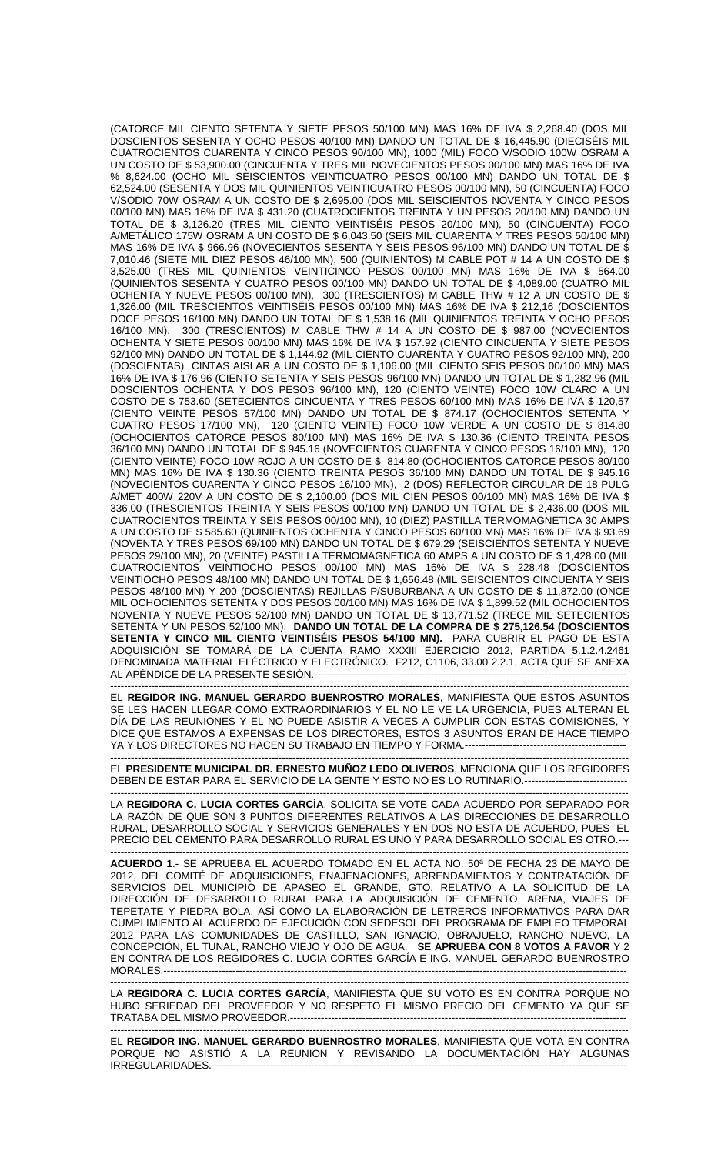(CATORCE MIL CIENTO SETENTA Y SIETE PESOS 50/100 MN) MAS 16% DE IVA \$ 2,268.40 (DOS MIL DOSCIENTOS SESENTA Y OCHO PESOS 40/100 MN) DANDO UN TOTAL DE \$ 16,445.90 (DIECISÉIS MIL CUATROCIENTOS CUARENTA Y CINCO PESOS 90/100 MN), 1000 (MIL) FOCO V/SODIO 100W OSRAM A UN COSTO DE \$ 53,900.00 (CINCUENTA Y TRES MIL NOVECIENTOS PESOS 00/100 MN) MAS 16% DE IVA % 8,624.00 (OCHO MIL SEISCIENTOS VEINTICUATRO PESOS 00/100 MN) DANDO UN TOTAL DE \$ 62,524.00 (SESENTA Y DOS MIL QUINIENTOS VEINTICUATRO PESOS 00/100 MN), 50 (CINCUENTA) FOCO V/SODIO 70W OSRAM A UN COSTO DE \$ 2,695.00 (DOS MIL SEISCIENTOS NOVENTA Y CINCO PESOS 00/100 MN) MAS 16% DE IVA \$ 431.20 (CUATROCIENTOS TREINTA Y UN PESOS 20/100 MN) DANDO UN TOTAL DE \$ 3,126.20 (TRES MIL CIENTO VEINTISÉIS PESOS 20/100 MN), 50 (CINCUENTA) FOCO A/METÁLICO 175W OSRAM A UN COSTO DE \$ 6,043.50 (SEIS MIL CUARENTA Y TRES PESOS 50/100 MN) MAS 16% DE IVA \$ 966.96 (NOVECIENTOS SESENTA Y SEIS PESOS 96/100 MN) DANDO UN TOTAL DE \$ 7,010.46 (SIETE MIL DIEZ PESOS 46/100 MN), 500 (QUINIENTOS) M CABLE POT # 14 A UN COSTO DE \$ 3,525.00 (TRES MIL QUINIENTOS VEINTICINCO PESOS 00/100 MN) MAS 16% DE IVA \$ 564.00 (QUINIENTOS SESENTA Y CUATRO PESOS 00/100 MN) DANDO UN TOTAL DE \$ 4,089.00 (CUATRO MIL OCHENTA Y NUEVE PESOS 00/100 MN), 300 (TRESCIENTOS) M CABLE THW # 12 A UN COSTO DE \$ 1,326.00 (MIL TRESCIENTOS VEINTISÉIS PESOS 00/100 MN) MAS 16% DE IVA \$ 212,16 (DOSCIENTOS DOCE PESOS 16/100 MN) DANDO UN TOTAL DE \$ 1,538.16 (MIL QUINIENTOS TREINTA Y OCHO PESOS 16/100 MN), 300 (TRESCIENTOS) M CABLE THW # 14 A UN COSTO DE \$ 987.00 (NOVECIENTOS OCHENTA Y SIETE PESOS 00/100 MN) MAS 16% DE IVA \$ 157.92 (CIENTO CINCUENTA Y SIETE PESOS 92/100 MN) DANDO UN TOTAL DE \$ 1,144.92 (MIL CIENTO CUARENTA Y CUATRO PESOS 92/100 MN), 200 (DOSCIENTAS) CINTAS AISLAR A UN COSTO DE \$ 1,106.00 (MIL CIENTO SEIS PESOS 00/100 MN) MAS 16% DE IVA \$ 176.96 (CIENTO SETENTA Y SEIS PESOS 96/100 MN) DANDO UN TOTAL DE \$ 1,282.96 (MIL DOSCIENTOS OCHENTA Y DOS PESOS 96/100 MN), 120 (CIENTO VEINTE) FOCO 10W CLARO A UN COSTO DE \$ 753.60 (SETECIENTOS CINCUENTA Y TRES PESOS 60/100 MN) MAS 16% DE IVA \$ 120,57 (CIENTO VEINTE PESOS 57/100 MN) DANDO UN TOTAL DE \$ 874.17 (OCHOCIENTOS SETENTA Y CUATRO PESOS 17/100 MN), 120 (CIENTO VEINTE) FOCO 10W VERDE A UN COSTO DE \$ 814.80 (OCHOCIENTOS CATORCE PESOS 80/100 MN) MAS 16% DE IVA \$ 130.36 (CIENTO TREINTA PESOS 36/100 MN) DANDO UN TOTAL DE \$ 945.16 (NOVECIENTOS CUARENTA Y CINCO PESOS 16/100 MN), 120 (CIENTO VEINTE) FOCO 10W ROJO A UN COSTO DE \$ 814.80 (OCHOCIENTOS CATORCE PESOS 80/100 MN) MAS 16% DE IVA \$ 130.36 (CIENTO TREINTA PESOS 36/100 MN) DANDO UN TOTAL DE \$ 945.16 (NOVECIENTOS CUARENTA Y CINCO PESOS 16/100 MN), 2 (DOS) REFLECTOR CIRCULAR DE 18 PULG A/MET 400W 220V A UN COSTO DE \$ 2,100.00 (DOS MIL CIEN PESOS 00/100 MN) MAS 16% DE IVA \$ 336.00 (TRESCIENTOS TREINTA Y SEIS PESOS 00/100 MN) DANDO UN TOTAL DE \$ 2,436.00 (DOS MIL CUATROCIENTOS TREINTA Y SEIS PESOS 00/100 MN), 10 (DIEZ) PASTILLA TERMOMAGNETICA 30 AMPS A UN COSTO DE \$ 585.60 (QUINIENTOS OCHENTA Y CINCO PESOS 60/100 MN) MAS 16% DE IVA \$ 93.69 (NOVENTA Y TRES PESOS 69/100 MN) DANDO UN TOTAL DE \$ 679.29 (SEISCIENTOS SETENTA Y NUEVE PESOS 29/100 MN), 20 (VEINTE) PASTILLA TERMOMAGNETICA 60 AMPS A UN COSTO DE \$ 1,428.00 (MIL CUATROCIENTOS VEINTIOCHO PESOS 00/100 MN) MAS 16% DE IVA \$ 228.48 (DOSCIENTOS VEINTIOCHO PESOS 48/100 MN) DANDO UN TOTAL DE \$ 1,656.48 (MIL SEISCIENTOS CINCUENTA Y SEIS PESOS 48/100 MN) Y 200 (DOSCIENTAS) REJILLAS P/SUBURBANA A UN COSTO DE \$ 11,872.00 (ONCE MIL OCHOCIENTOS SETENTA Y DOS PESOS 00/100 MN) MAS 16% DE IVA \$ 1,899.52 (MIL OCHOCIENTOS NOVENTA Y NUEVE PESOS 52/100 MN) DANDO UN TOTAL DE \$ 13,771.52 (TRECE MIL SETECIENTOS SETENTA Y UN PESOS 52/100 MN), **DANDO UN TOTAL DE LA COMPRA DE \$ 275,126.54 (DOSCIENTOS SETENTA Y CINCO MIL CIENTO VEINTISÉIS PESOS 54/100 MN).** PARA CUBRIR EL PAGO DE ESTA ADQUISICIÓN SE TOMARÁ DE LA CUENTA RAMO XXXIII EJERCICIO 2012, PARTIDA 5.1.2.4.2461 DENOMINADA MATERIAL ELÉCTRICO Y ELECTRÓNICO. F212, C1106, 33.00 2.2.1, ACTA QUE SE ANEXA AL APÉNDICE DE LA PRESENTE SESIÓN.----

------------------------------------------------------------------------------------------------------------------------------------------------------- EL **REGIDOR ING. MANUEL GERARDO BUENROSTRO MORALES**, MANIFIESTA QUE ESTOS ASUNTOS SE LES HACEN LLEGAR COMO EXTRAORDINARIOS Y EL NO LE VE LA URGENCIA, PUES ALTERAN EL DÍA DE LAS REUNIONES Y EL NO PUEDE ASISTIR A VECES A CUMPLIR CON ESTAS COMISIONES, Y DICE QUE ESTAMOS A EXPENSAS DE LOS DIRECTORES, ESTOS 3 ASUNTOS ERAN DE HACE TIEMPO YA Y LOS DIRECTORES NO HACEN SU TRABAJO EN TIEMPO Y FORMA.---

------------------------------------------------------------------------------------------------------------------------------------------------------- EL **PRESIDENTE MUNICIPAL DR. ERNESTO MUÑOZ LEDO OLIVEROS**, MENCIONA QUE LOS REGIDORES DEBEN DE ESTAR PARA EL SERVICIO DE LA GENTE Y ESTO NO ES LO RUTINARIO.------------------------------

------------------------------------------------------------------------------------------------------------------------------------------------------- LA **REGIDORA C. LUCIA CORTES GARCÍA**, SOLICITA SE VOTE CADA ACUERDO POR SEPARADO POR LA RAZÓN DE QUE SON 3 PUNTOS DIFERENTES RELATIVOS A LAS DIRECCIONES DE DESARROLLO RURAL, DESARROLLO SOCIAL Y SERVICIOS GENERALES Y EN DOS NO ESTA DE ACUERDO, PUES EL PRECIO DEL CEMENTO PARA DESARROLLO RURAL ES UNO Y PARA DESARROLLO SOCIAL ES OTRO.---

------------------------------------------------------------------------------------------------------------------------------------------------------- **ACUERDO 1**.- SE APRUEBA EL ACUERDO TOMADO EN EL ACTA NO. 50ª DE FECHA 23 DE MAYO DE 2012, DEL COMITÉ DE ADQUISICIONES, ENAJENACIONES, ARRENDAMIENTOS Y CONTRATACIÓN DE SERVICIOS DEL MUNICIPIO DE APASEO EL GRANDE, GTO. RELATIVO A LA SOLICITUD DE LA DIRECCIÓN DE DESARROLLO RURAL PARA LA ADQUISICIÓN DE CEMENTO, ARENA, VIAJES DE TEPETATE Y PIEDRA BOLA, ASÍ COMO LA ELABORACIÓN DE LETREROS INFORMATIVOS PARA DAR CUMPLIMIENTO AL ACUERDO DE EJECUCIÓN CON SEDESOL DEL PROGRAMA DE EMPLEO TEMPORAL 2012 PARA LAS COMUNIDADES DE CASTILLO, SAN IGNACIO, OBRAJUELO, RANCHO NUEVO, LA CONCEPCIÓN, EL TUNAL, RANCHO VIEJO Y OJO DE AGUA. **SE APRUEBA CON 8 VOTOS A FAVOR** Y 2 EN CONTRA DE LOS REGIDORES C. LUCIA CORTES GARCÍA E ING. MANUEL GERARDO BUENROSTRO **MORALES.-----**

------------------------------------------------------------------------------------------------------------------------------------------------------- LA **REGIDORA C. LUCIA CORTES GARCÍA**, MANIFIESTA QUE SU VOTO ES EN CONTRA PORQUE NO HUBO SERIEDAD DEL PROVEEDOR Y NO RESPETO EL MISMO PRECIO DEL CEMENTO YA QUE SE TRATABA DEL MISMO PROVEEDOR.--------------------------------------------------------------------------------------------------

------------------------------------------------------------------------------------------------------------------------------------------------------- EL **REGIDOR ING. MANUEL GERARDO BUENROSTRO MORALES**, MANIFIESTA QUE VOTA EN CONTRA PORQUE NO ASISTIÓ A LA REUNION Y REVISANDO LA DOCUMENTACIÓN HAY ALGUNAS IRREGULARIDADES.-------------------------------------------------------------------------------------------------------------------------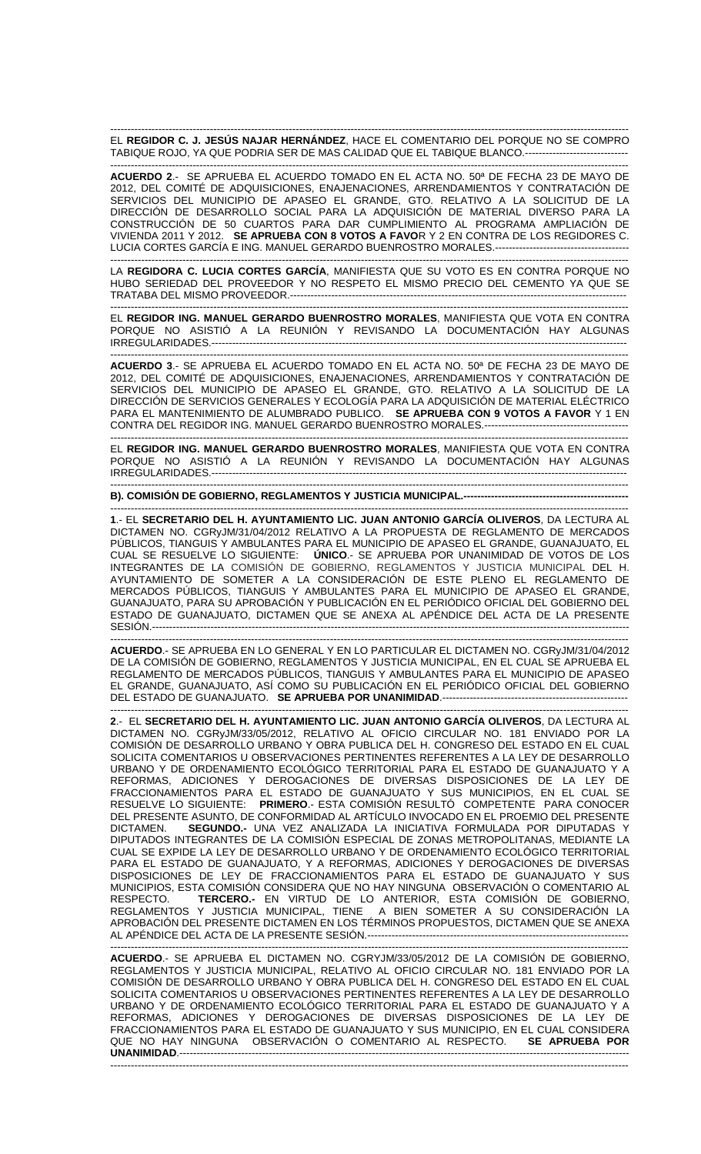------------------------------------------------------------------------------------------------------------------------------------------------------- EL **REGIDOR C. J. JESÚS NAJAR HERNÁNDEZ**, HACE EL COMENTARIO DEL PORQUE NO SE COMPRO TABIQUE ROJO, YA QUE PODRIA SER DE MAS CALIDAD QUE EL TABIQUE BLANCO.------------------------------

------------------------------------------------------------------------------------------------------------------------------------------------------- **ACUERDO 2**.- SE APRUEBA EL ACUERDO TOMADO EN EL ACTA NO. 50ª DE FECHA 23 DE MAYO DE 2012, DEL COMITÉ DE ADQUISICIONES, ENAJENACIONES, ARRENDAMIENTOS Y CONTRATACIÓN DE SERVICIOS DEL MUNICIPIO DE APASEO EL GRANDE, GTO. RELATIVO A LA SOLICITUD DE LA DIRECCIÓN DE DESARROLLO SOCIAL PARA LA ADQUISICIÓN DE MATERIAL DIVERSO PARA LA CONSTRUCCIÓN DE 50 CUARTOS PARA DAR CUMPLIMIENTO AL PROGRAMA AMPLIACIÓN DE VIVIENDA 2011 Y 2012. **SE APRUEBA CON 8 VOTOS A FAVO**R Y 2 EN CONTRA DE LOS REGIDORES C. LUCIA CORTES GARCÍA E ING. MANUEL GERARDO BUENROSTRO MORALES.---------------------------------------

LA **REGIDORA C. LUCIA CORTES GARCÍA**, MANIFIESTA QUE SU VOTO ES EN CONTRA PORQUE NO HUBO SERIEDAD DEL PROVEEDOR Y NO RESPETO EL MISMO PRECIO DEL CEMENTO YA QUE SE TRATABA DEL MISMO PROVEEDOR.--------------------------------------------------------------------------------------------------

-------------------------------------------------------------------------------------------------------------------------------------------------------

------------------------------------------------------------------------------------------------------------------------------------------------------- EL **REGIDOR ING. MANUEL GERARDO BUENROSTRO MORALES**, MANIFIESTA QUE VOTA EN CONTRA PORQUE NO ASISTIÓ A LA REUNIÓN Y REVISANDO LA DOCUMENTACIÓN HAY ALGUNAS IRREGULARIDADES.-------------------------------------------------------------------------------------------------------------------------

------------------------------------------------------------------------------------------------------------------------------------------------------- **ACUERDO 3**.- SE APRUEBA EL ACUERDO TOMADO EN EL ACTA NO. 50ª DE FECHA 23 DE MAYO DE 2012, DEL COMITÉ DE ADQUISICIONES, ENAJENACIONES, ARRENDAMIENTOS Y CONTRATACIÓN DE SERVICIOS DEL MUNICIPIO DE APASEO EL GRANDE, GTO. RELATIVO A LA SOLICITUD DE LA DIRECCIÓN DE SERVICIOS GENERALES Y ECOLOGÍA PARA LA ADQUISICIÓN DE MATERIAL ELÉCTRICO PARA EL MANTENIMIENTO DE ALUMBRADO PUBLICO. **SE APRUEBA CON 9 VOTOS A FAVOR** Y 1 EN CONTRA DEL REGIDOR ING. MANUEL GERARDO BUENROSTRO MORALES.------------------------------------------

------------------------------------------------------------------------------------------------------------------------------------------------------- EL **REGIDOR ING. MANUEL GERARDO BUENROSTRO MORALES**, MANIFIESTA QUE VOTA EN CONTRA PORQUE NO ASISTIÓ A LA REUNIÓN Y REVISANDO LA DOCUMENTACIÓN HAY ALGUNAS IRREGULARIDADES.-------------------------------------------------------------------------------------------------------------------------

-------------------------------------------------------------------------------------------------------------------------------------------------------

-------------------------------------------------------------------------------------------------------------------------------------------------------

**B). COMISIÓN DE GOBIERNO, REGLAMENTOS Y JUSTICIA MUNICIPAL.------------------------------------------------** 

**1**.- EL **SECRETARIO DEL H. AYUNTAMIENTO LIC. JUAN ANTONIO GARCÍA OLIVEROS**, DA LECTURA AL DICTAMEN NO. CGRyJM/31/04/2012 RELATIVO A LA PROPUESTA DE REGLAMENTO DE MERCADOS PÚBLICOS, TIANGUIS Y AMBULANTES PARA EL MUNICIPIO DE APASEO EL GRANDE, GUANAJUATO, EL CUAL SE RESUELVE LO SIGUIENTE: **ÚNICO**.- SE APRUEBA POR UNANIMIDAD DE VOTOS DE LOS INTEGRANTES DE LA COMISIÓN DE GOBIERNO, REGLAMENTOS Y JUSTICIA MUNICIPAL DEL H. AYUNTAMIENTO DE SOMETER A LA CONSIDERACIÓN DE ESTE PLENO EL REGLAMENTO DE MERCADOS PÚBLICOS, TIANGUIS Y AMBULANTES PARA EL MUNICIPIO DE APASEO EL GRANDE, GUANAJUATO, PARA SU APROBACIÓN Y PUBLICACIÓN EN EL PERIÓDICO OFICIAL DEL GOBIERNO DEL ESTADO DE GUANAJUATO, DICTAMEN QUE SE ANEXA AL APÉNDICE DEL ACTA DE LA PRESENTE SESIÓN.-------------------------------------------------------------------------------------------------------------------------------------------

------------------------------------------------------------------------------------------------------------------------------------------------------- **ACUERDO**.- SE APRUEBA EN LO GENERAL Y EN LO PARTICULAR EL DICTAMEN NO. CGRyJM/31/04/2012 DE LA COMISIÓN DE GOBIERNO, REGLAMENTOS Y JUSTICIA MUNICIPAL, EN EL CUAL SE APRUEBA EL REGLAMENTO DE MERCADOS PÚBLICOS, TIANGUIS Y AMBULANTES PARA EL MUNICIPIO DE APASEO EL GRANDE, GUANAJUATO, ASÍ COMO SU PUBLICACIÓN EN EL PERIÓDICO OFICIAL DEL GOBIERNO DEL ESTADO DE GUANAJUATO. **SE APRUEBA POR UNANIMIDAD**.------------------------------------------------------

------------------------------------------------------------------------------------------------------------------------------------------------------- **2**.- EL **SECRETARIO DEL H. AYUNTAMIENTO LIC. JUAN ANTONIO GARCÍA OLIVEROS**, DA LECTURA AL DICTAMEN NO. CGRyJM/33/05/2012, RELATIVO AL OFICIO CIRCULAR NO. 181 ENVIADO POR LA COMISIÓN DE DESARROLLO URBANO Y OBRA PUBLICA DEL H. CONGRESO DEL ESTADO EN EL CUAL SOLICITA COMENTARIOS U OBSERVACIONES PERTINENTES REFERENTES A LA LEY DE DESARROLLO URBANO Y DE ORDENAMIENTO ECOLÓGICO TERRITORIAL PARA EL ESTADO DE GUANAJUATO Y A REFORMAS, ADICIONES Y DEROGACIONES DE DIVERSAS DISPOSICIONES DE LA LEY DE FRACCIONAMIENTOS PARA EL ESTADO DE GUANAJUATO Y SUS MUNICIPIOS, EN EL CUAL SE RESUELVE LO SIGUIENTE: **PRIMERO**.- ESTA COMISIÓN RESULTÓ COMPETENTE PARA CONOCER DEL PRESENTE ASUNTO, DE CONFORMIDAD AL ARTÍCULO INVOCADO EN EL PROEMIO DEL PRESENTE DICTAMEN. **SEGUNDO.-** UNA VEZ ANALIZADA LA INICIATIVA FORMULADA POR DIPUTADAS Y DIPUTADOS INTEGRANTES DE LA COMISIÓN ESPECIAL DE ZONAS METROPOLITANAS, MEDIANTE LA CUAL SE EXPIDE LA LEY DE DESARROLLO URBANO Y DE ORDENAMIENTO ECOLÓGICO TERRITORIAL PARA EL ESTADO DE GUANAJUATO, Y A REFORMAS, ADICIONES Y DEROGACIONES DE DIVERSAS DISPOSICIONES DE LEY DE FRACCIONAMIENTOS PARA EL ESTADO DE GUANAJUATO Y SUS MUNICIPIOS, ESTA COMISIÓN CONSIDERA QUE NO HAY NINGUNA OBSERVACIÓN O COMENTARIO AL RESPECTO. **TERCERO.-** EN VIRTUD DE LO ANTERIOR, ESTA COMISIÓN DE GOBIERNO, REGLAMENTOS Y JUSTICIA MUNICIPAL, TIENE A BIEN SOMETER A SU CONSIDERACIÓN LA APROBACIÓN DEL PRESENTE DICTAMEN EN LOS TÉRMINOS PROPUESTOS, DICTAMEN QUE SE ANEXA AL APÉNDICE DEL ACTA DE LA PRESENTE SESIÓN.----------------------------------------------------------------------------

------------------------------------------------------------------------------------------------------------------------------------------------------- **ACUERDO**.- SE APRUEBA EL DICTAMEN NO. CGRYJM/33/05/2012 DE LA COMISIÓN DE GOBIERNO, REGLAMENTOS Y JUSTICIA MUNICIPAL, RELATIVO AL OFICIO CIRCULAR NO. 181 ENVIADO POR LA COMISIÓN DE DESARROLLO URBANO Y OBRA PUBLICA DEL H. CONGRESO DEL ESTADO EN EL CUAL SOLICITA COMENTARIOS U OBSERVACIONES PERTINENTES REFERENTES A LA LEY DE DESARROLLO URBANO Y DE ORDENAMIENTO ECOLÓGICO TERRITORIAL PARA EL ESTADO DE GUANAJUATO Y A REFORMAS, ADICIONES Y DEROGACIONES DE DIVERSAS DISPOSICIONES DE LA LEY DE FRACCIONAMIENTOS PARA EL ESTADO DE GUANAJUATO Y SUS MUNICIPIO, EN EL CUAL CONSIDERA QUE NO HAY NINGUNA OBSERVACIÓN O COMENTARIO AL RESPECTO. **SE APRUEBA POR UNANIMIDAD**.-----------------------------------------------------------------------------------------------------------------------------------

-------------------------------------------------------------------------------------------------------------------------------------------------------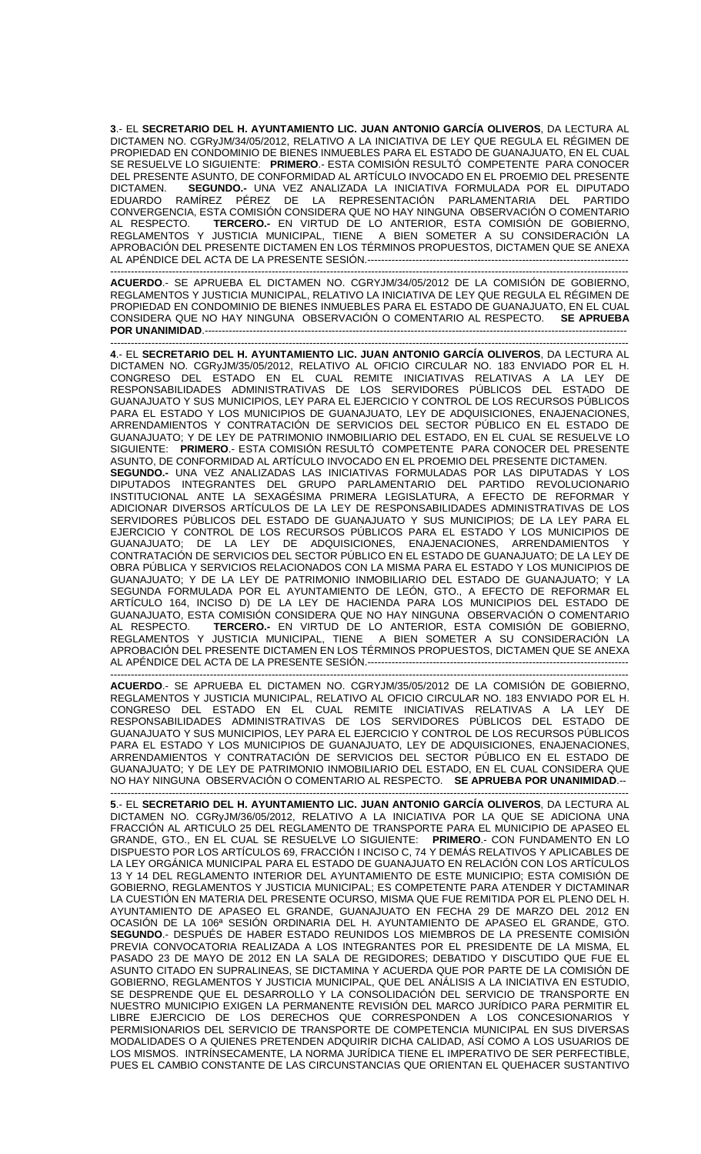**3**.- EL **SECRETARIO DEL H. AYUNTAMIENTO LIC. JUAN ANTONIO GARCÍA OLIVEROS**, DA LECTURA AL DICTAMEN NO. CGRyJM/34/05/2012, RELATIVO A LA INICIATIVA DE LEY QUE REGULA EL RÉGIMEN DE PROPIEDAD EN CONDOMINIO DE BIENES INMUEBLES PARA EL ESTADO DE GUANAJUATO, EN EL CUAL SE RESUELVE LO SIGUIENTE: **PRIMERO**.- ESTA COMISIÓN RESULTÓ COMPETENTE PARA CONOCER DEL PRESENTE ASUNTO, DE CONFORMIDAD AL ARTÍCULO INVOCADO EN EL PROEMIO DEL PRESENTE<br>DICTAMEN. (CONDIDO E UNA VEZ ANALIZADA LA INICIATIVA FORMULADA POR EL DIPUTADO SEGUNDO.- UNA VEZ ANALIZADA LA INICIATIVA FORMULADA POR EL DIPUTADO EDUARDO RAMÍREZ PÉREZ DE LA REPRESENTACIÓN PARLAMENTARIA DEL PARTIDO CONVERGENCIA, ESTA COMISIÓN CONSIDERA QUE NO HAY NINGUNA OBSERVACIÓN O COMENTARIO AL RESPECTO. **TERCERO.-** EN VIRTUD DE LO ANTERIOR, ESTA COMISIÓN DE GOBIERNO, REGLAMENTOS Y JUSTICIA MUNICIPAL, TIENE A BIEN SOMETER A SU CONSIDERACIÓN LA APROBACIÓN DEL PRESENTE DICTAMEN EN LOS TÉRMINOS PROPUESTOS, DICTAMEN QUE SE ANEXA AL APÉNDICE DEL ACTA DE LA PRESENTE SESIÓN.----------------------------------------------------------------------------

------------------------------------------------------------------------------------------------------------------------------------------------------- **ACUERDO**.- SE APRUEBA EL DICTAMEN NO. CGRYJM/34/05/2012 DE LA COMISIÓN DE GOBIERNO, REGLAMENTOS Y JUSTICIA MUNICIPAL, RELATIVO LA INICIATIVA DE LEY QUE REGULA EL RÉGIMEN DE PROPIEDAD EN CONDOMINIO DE BIENES INMUEBLES PARA EL ESTADO DE GUANAJUATO, EN EL CUAL CONSIDERA QUE NO HAY NINGUNA OBSERVACIÓN O COMENTARIO AL RESPECTO. **SE APRUEBA POR UNANIMIDAD**.---------------------------------------------------------------------------------------------------------------------------

------------------------------------------------------------------------------------------------------------------------------------------------------- **4**.- EL **SECRETARIO DEL H. AYUNTAMIENTO LIC. JUAN ANTONIO GARCÍA OLIVEROS**, DA LECTURA AL DICTAMEN NO. CGRyJM/35/05/2012, RELATIVO AL OFICIO CIRCULAR NO. 183 ENVIADO POR EL H. CONGRESO DEL ESTADO EN EL CUAL REMITE INICIATIVAS RELATIVAS A LA LEY DE RESPONSABILIDADES ADMINISTRATIVAS DE LOS SERVIDORES PÚBLICOS DEL ESTADO DE GUANAJUATO Y SUS MUNICIPIOS, LEY PARA EL EJERCICIO Y CONTROL DE LOS RECURSOS PÚBLICOS PARA EL ESTADO Y LOS MUNICIPIOS DE GUANAJUATO, LEY DE ADQUISICIONES, ENAJENACIONES, ARRENDAMIENTOS Y CONTRATACIÓN DE SERVICIOS DEL SECTOR PÚBLICO EN EL ESTADO DE GUANAJUATO; Y DE LEY DE PATRIMONIO INMOBILIARIO DEL ESTADO, EN EL CUAL SE RESUELVE LO SIGUIENTE: **PRIMERO**.- ESTA COMISIÓN RESULTÓ COMPETENTE PARA CONOCER DEL PRESENTE ASUNTO, DE CONFORMIDAD AL ARTÍCULO INVOCADO EN EL PROEMIO DEL PRESENTE DICTAMEN. **SEGUNDO.-** UNA VEZ ANALIZADAS LAS INICIATIVAS FORMULADAS POR LAS DIPUTADAS Y LOS DIPUTADOS INTEGRANTES DEL GRUPO PARLAMENTARIO DEL PARTIDO REVOLUCIONARIO INSTITUCIONAL ANTE LA SEXAGÉSIMA PRIMERA LEGISLATURA, A EFECTO DE REFORMAR Y ADICIONAR DIVERSOS ARTÍCULOS DE LA LEY DE RESPONSABILIDADES ADMINISTRATIVAS DE LOS SERVIDORES PÚBLICOS DEL ESTADO DE GUANAJUATO Y SUS MUNICIPIOS; DE LA LEY PARA EL EJERCICIO Y CONTROL DE LOS RECURSOS PÚBLICOS PARA EL ESTADO Y LOS MUNICIPIOS DE GUANAJUATO; DE LA LEY DE ADQUISICIONES, ENAJENACIONES, ARRENDAMIENTOS Y CONTRATACIÓN DE SERVICIOS DEL SECTOR PÚBLICO EN EL ESTADO DE GUANAJUATO; DE LA LEY DE OBRA PÚBLICA Y SERVICIOS RELACIONADOS CON LA MISMA PARA EL ESTADO Y LOS MUNICIPIOS DE GUANAJUATO; Y DE LA LEY DE PATRIMONIO INMOBILIARIO DEL ESTADO DE GUANAJUATO; Y LA SEGUNDA FORMULADA POR EL AYUNTAMIENTO DE LEÓN, GTO., A EFECTO DE REFORMAR EL ARTÍCULO 164, INCISO D) DE LA LEY DE HACIENDA PARA LOS MUNICIPIOS DEL ESTADO DE GUANAJUATO, ESTA COMISIÓN CONSIDERA QUE NO HAY NINGUNA OBSERVACIÓN O COMENTARIO AL RESPECTO. **TERCERO.-** EN VIRTUD DE LO ANTERIOR, ESTA COMISIÓN DE GOBIERNO, REGLAMENTOS Y JUSTICIA MUNICIPAL, TIENE A BIEN SOMETER A SU CONSIDERACIÓN LA APROBACIÓN DEL PRESENTE DICTAMEN EN LOS TÉRMINOS PROPUESTOS, DICTAMEN QUE SE ANEXA AL APÉNDICE DEL ACTA DE LA PRESENTE SESIÓN.------------------------------

------------------------------------------------------------------------------------------------------------------------------------------------------- **ACUERDO**.- SE APRUEBA EL DICTAMEN NO. CGRYJM/35/05/2012 DE LA COMISIÓN DE GOBIERNO, REGLAMENTOS Y JUSTICIA MUNICIPAL, RELATIVO AL OFICIO CIRCULAR NO. 183 ENVIADO POR EL H. CONGRESO DEL ESTADO EN EL CUAL REMITE INICIATIVAS RELATIVAS A LA LEY DE RESPONSABILIDADES ADMINISTRATIVAS DE LOS SERVIDORES PÚBLICOS DEL ESTADO DE GUANAJUATO Y SUS MUNICIPIOS, LEY PARA EL EJERCICIO Y CONTROL DE LOS RECURSOS PÚBLICOS PARA EL ESTADO Y LOS MUNICIPIOS DE GUANAJUATO, LEY DE ADQUISICIONES, ENAJENACIONES, ARRENDAMIENTOS Y CONTRATACIÓN DE SERVICIOS DEL SECTOR PÚBLICO EN EL ESTADO DE GUANAJUATO; Y DE LEY DE PATRIMONIO INMOBILIARIO DEL ESTADO, EN EL CUAL CONSIDERA QUE NO HAY NINGUNA OBSERVACIÓN O COMENTARIO AL RESPECTO. **SE APRUEBA POR UNANIMIDAD**.--

------------------------------------------------------------------------------------------------------------------------------------------------------- **5**.- EL **SECRETARIO DEL H. AYUNTAMIENTO LIC. JUAN ANTONIO GARCÍA OLIVEROS**, DA LECTURA AL DICTAMEN NO. CGRyJM/36/05/2012, RELATIVO A LA INICIATIVA POR LA QUE SE ADICIONA UNA FRACCIÓN AL ARTICULO 25 DEL REGLAMENTO DE TRANSPORTE PARA EL MUNICIPIO DE APASEO EL GRANDE, GTO., EN EL CUAL SE RESUELVE LO SIGUIENTE: **PRIMERO**.- CON FUNDAMENTO EN LO DISPUESTO POR LOS ARTÍCULOS 69, FRACCIÓN I INCISO C, 74 Y DEMÁS RELATIVOS Y APLICABLES DE LA LEY ORGÁNICA MUNICIPAL PARA EL ESTADO DE GUANAJUATO EN RELACIÓN CON LOS ARTÍCULOS 13 Y 14 DEL REGLAMENTO INTERIOR DEL AYUNTAMIENTO DE ESTE MUNICIPIO; ESTA COMISIÓN DE GOBIERNO, REGLAMENTOS Y JUSTICIA MUNICIPAL; ES COMPETENTE PARA ATENDER Y DICTAMINAR LA CUESTIÓN EN MATERIA DEL PRESENTE OCURSO, MISMA QUE FUE REMITIDA POR EL PLENO DEL H. AYUNTAMIENTO DE APASEO EL GRANDE, GUANAJUATO EN FECHA 29 DE MARZO DEL 2012 EN OCASIÓN DE LA 106ª SESIÓN ORDINARIA DEL H. AYUNTAMIENTO DE APASEO EL GRANDE, GTO. **SEGUNDO**.- DESPUÉS DE HABER ESTADO REUNIDOS LOS MIEMBROS DE LA PRESENTE COMISIÓN PREVIA CONVOCATORIA REALIZADA A LOS INTEGRANTES POR EL PRESIDENTE DE LA MISMA, EL PASADO 23 DE MAYO DE 2012 EN LA SALA DE REGIDORES; DEBATIDO Y DISCUTIDO QUE FUE EL ASUNTO CITADO EN SUPRALINEAS, SE DICTAMINA Y ACUERDA QUE POR PARTE DE LA COMISIÓN DE GOBIERNO, REGLAMENTOS Y JUSTICIA MUNICIPAL, QUE DEL ANÁLISIS A LA INICIATIVA EN ESTUDIO, SE DESPRENDE QUE EL DESARROLLO Y LA CONSOLIDACIÓN DEL SERVICIO DE TRANSPORTE EN NUESTRO MUNICIPIO EXIGEN LA PERMANENTE REVISIÓN DEL MARCO JURÍDICO PARA PERMITIR EL LIBRE EJERCICIO DE LOS DERECHOS QUE CORRESPONDEN A LOS CONCESIONARIOS Y PERMISIONARIOS DEL SERVICIO DE TRANSPORTE DE COMPETENCIA MUNICIPAL EN SUS DIVERSAS MODALIDADES O A QUIENES PRETENDEN ADQUIRIR DICHA CALIDAD, ASÍ COMO A LOS USUARIOS DE LOS MISMOS. INTRÍNSECAMENTE, LA NORMA JURÍDICA TIENE EL IMPERATIVO DE SER PERFECTIBLE, PUES EL CAMBIO CONSTANTE DE LAS CIRCUNSTANCIAS QUE ORIENTAN EL QUEHACER SUSTANTIVO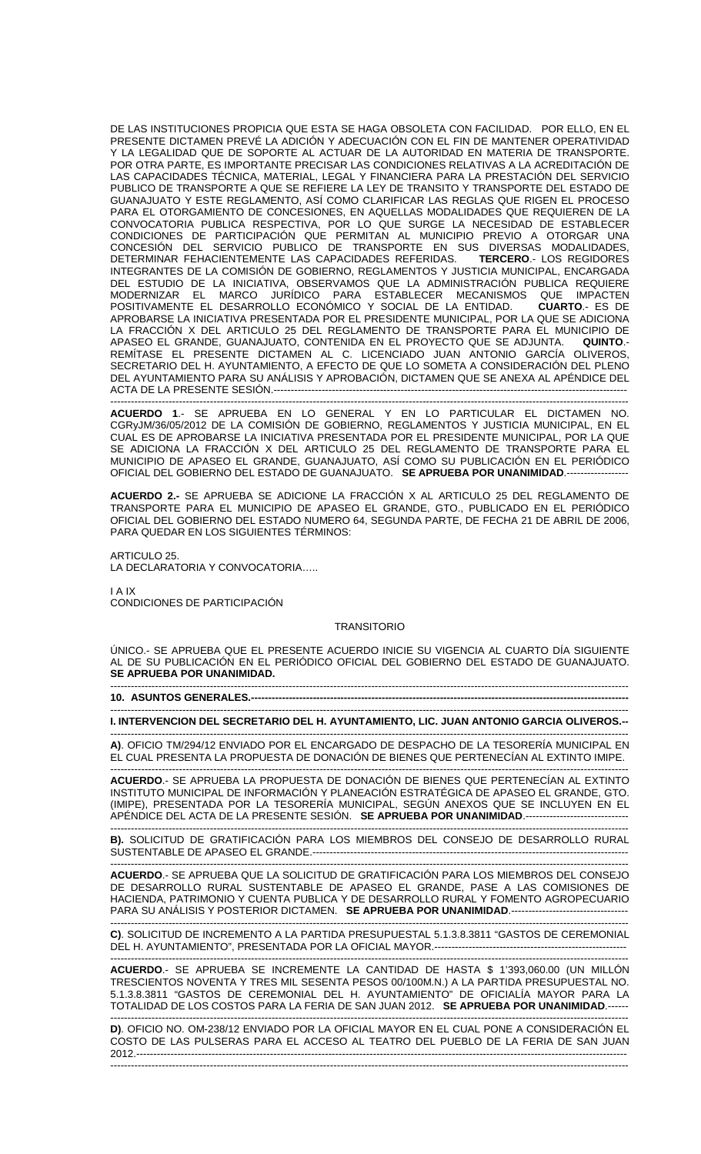DE LAS INSTITUCIONES PROPICIA QUE ESTA SE HAGA OBSOLETA CON FACILIDAD. POR ELLO, EN EL PRESENTE DICTAMEN PREVÉ LA ADICIÓN Y ADECUACIÓN CON EL FIN DE MANTENER OPERATIVIDAD Y LA LEGALIDAD QUE DE SOPORTE AL ACTUAR DE LA AUTORIDAD EN MATERIA DE TRANSPORTE. POR OTRA PARTE, ES IMPORTANTE PRECISAR LAS CONDICIONES RELATIVAS A LA ACREDITACIÓN DE LAS CAPACIDADES TÉCNICA, MATERIAL, LEGAL Y FINANCIERA PARA LA PRESTACIÓN DEL SERVICIO PUBLICO DE TRANSPORTE A QUE SE REFIERE LA LEY DE TRANSITO Y TRANSPORTE DEL ESTADO DE GUANAJUATO Y ESTE REGLAMENTO, ASÍ COMO CLARIFICAR LAS REGLAS QUE RIGEN EL PROCESO PARA EL OTORGAMIENTO DE CONCESIONES, EN AQUELLAS MODALIDADES QUE REQUIEREN DE LA CONVOCATORIA PUBLICA RESPECTIVA, POR LO QUE SURGE LA NECESIDAD DE ESTABLECER CONDICIONES DE PARTICIPACIÓN QUE PERMITAN AL MUNICIPIO PREVIO A OTORGAR UNA CONCESIÓN DEL SERVICIO PUBLICO DE TRANSPORTE EN SUS DIVERSAS MODALIDADES, DETERMINAR FEHACIENTEMENTE LAS CAPACIDADES REFERIDAS. **TERCERO**.- LOS REGIDORES INTEGRANTES DE LA COMISIÓN DE GOBIERNO, REGLAMENTOS Y JUSTICIA MUNICIPAL, ENCARGADA DEL ESTUDIO DE LA INICIATIVA, OBSERVAMOS QUE LA ADMINISTRACIÓN PUBLICA REQUIERE MODERNIZAR EL MARCO JURÍDICO PARA ESTABLECER MECANISMOS QUE IMPACTEN POSITIVAMENTE EL DESARROLLO ECONÓMICO Y SOCIAL DE LA ENTIDAD. **CUARTO**.- ES DE APROBARSE LA INICIATIVA PRESENTADA POR EL PRESIDENTE MUNICIPAL, POR LA QUE SE ADICIONA LA FRACCIÓN X DEL ARTICULO 25 DEL REGLAMENTO DE TRANSPORTE PARA EL MUNICIPIO DE APASEO EL GRANDE, GUANAJUATO, CONTENIDA EN EL PROYECTO QUE SE ADJUNTA. **QUINTO**.- REMÍTASE EL PRESENTE DICTAMEN AL C. LICENCIADO JUAN ANTONIO GARCÍA OLIVEROS, SECRETARIO DEL H. AYUNTAMIENTO, A EFECTO DE QUE LO SOMETA A CONSIDERACIÓN DEL PLENO DEL AYUNTAMIENTO PARA SU ANÁLISIS Y APROBACIÓN, DICTAMEN QUE SE ANEXA AL APÉNDICE DEL ACTA DE LA PRESENTE SESIÓN.---------------------------------------------------------------------------------------------------------------------------------------------------------------------------

**ACUERDO 1**.- SE APRUEBA EN LO GENERAL Y EN LO PARTICULAR EL DICTAMEN NO. CGRyJM/36/05/2012 DE LA COMISIÓN DE GOBIERNO, REGLAMENTOS Y JUSTICIA MUNICIPAL, EN EL CUAL ES DE APROBARSE LA INICIATIVA PRESENTADA POR EL PRESIDENTE MUNICIPAL, POR LA QUE SE ADICIONA LA FRACCIÓN X DEL ARTICULO 25 DEL REGLAMENTO DE TRANSPORTE PARA EL MUNICIPIO DE APASEO EL GRANDE, GUANAJUATO, ASÍ COMO SU PUBLICACIÓN EN EL PERIÓDICO OFICIAL DEL GOBIERNO DEL ESTADO DE GUANAJUATO. SE APRUEBA POR UNANIMIDAD.--

**ACUERDO 2.-** SE APRUEBA SE ADICIONE LA FRACCIÓN X AL ARTICULO 25 DEL REGLAMENTO DE TRANSPORTE PARA EL MUNICIPIO DE APASEO EL GRANDE, GTO., PUBLICADO EN EL PERIÓDICO OFICIAL DEL GOBIERNO DEL ESTADO NUMERO 64, SEGUNDA PARTE, DE FECHA 21 DE ABRIL DE 2006, PARA QUEDAR EN LOS SIGUIENTES TÉRMINOS:

ARTICULO 25 LA DECLARATORIA Y CONVOCATORIA…..

I A IX CONDICIONES DE PARTICIPACIÓN

## **TRANSITORIO**

ÚNICO.- SE APRUEBA QUE EL PRESENTE ACUERDO INICIE SU VIGENCIA AL CUARTO DÍA SIGUIENTE AL DE SU PUBLICACIÓN EN EL PERIÓDICO OFICIAL DEL GOBIERNO DEL ESTADO DE GUANAJUATO. **SE APRUEBA POR UNANIMIDAD.**  -------------------------------------------------------------------------------------------------------------------------------------------------------

**10. ASUNTOS GENERALES.---**

------------------------------------------------------------------------------------------------------------------------------------------------------- **I. INTERVENCION DEL SECRETARIO DEL H. AYUNTAMIENTO, LIC. JUAN ANTONIO GARCIA OLIVEROS.--** 

------------------------------------------------------------------------------------------------------------------------------------------------------- **A)**. OFICIO TM/294/12 ENVIADO POR EL ENCARGADO DE DESPACHO DE LA TESORERÍA MUNICIPAL EN EL CUAL PRESENTA LA PROPUESTA DE DONACIÓN DE BIENES QUE PERTENECÍAN AL EXTINTO IMIPE.

------------------------------------------------------------------------------------------------------------------------------------------------------- **ACUERDO**.- SE APRUEBA LA PROPUESTA DE DONACIÓN DE BIENES QUE PERTENECÍAN AL EXTINTO INSTITUTO MUNICIPAL DE INFORMACIÓN Y PLANEACIÓN ESTRATÉGICA DE APASEO EL GRANDE, GTO. (IMIPE), PRESENTADA POR LA TESORERÍA MUNICIPAL, SEGÚN ANEXOS QUE SE INCLUYEN EN EL APÉNDICE DEL ACTA DE LA PRESENTE SESIÓN. **SE APRUEBA POR UNANIMIDAD**.------------------------------

------------------------------------------------------------------------------------------------------------------------------------------------------- **B).** SOLICITUD DE GRATIFICACIÓN PARA LOS MIEMBROS DEL CONSEJO DE DESARROLLO RURAL SUSTENTABLE DE APASEO EL GRANDE.--------------------------------------------------------------------------------------------

------------------------------------------------------------------------------------------------------------------------------------------------------- **ACUERDO**.- SE APRUEBA QUE LA SOLICITUD DE GRATIFICACIÓN PARA LOS MIEMBROS DEL CONSEJO DE DESARROLLO RURAL SUSTENTABLE DE APASEO EL GRANDE, PASE A LAS COMISIONES DE HACIENDA, PATRIMONIO Y CUENTA PUBLICA Y DE DESARROLLO RURAL Y FOMENTO AGROPECUARIO PARA SU ANÁLISIS Y POSTERIOR DICTAMEN. **SE APRUEBA POR UNANIMIDAD**.----------------------------------

------------------------------------------------------------------------------------------------------------------------------------------------------- **C)**. SOLICITUD DE INCREMENTO A LA PARTIDA PRESUPUESTAL 5.1.3.8.3811 "GASTOS DE CEREMONIAL DEL H. AYUNTAMIENTO", PRESENTADA POR LA OFICIAL MAYOR.-------------------------------------------------------- -------------------------------------------------------------------------------------------------------------------------------------------------------

**ACUERDO**.- SE APRUEBA SE INCREMENTE LA CANTIDAD DE HASTA \$ 1'393,060.00 (UN MILLÓN TRESCIENTOS NOVENTA Y TRES MIL SESENTA PESOS 00/100M.N.) A LA PARTIDA PRESUPUESTAL NO. 5.1.3.8.3811 "GASTOS DE CEREMONIAL DEL H. AYUNTAMIENTO" DE OFICIALÍA MAYOR PARA LA TOTALIDAD DE LOS COSTOS PARA LA FERIA DE SAN JUAN 2012. **SE APRUEBA POR UNANIMIDAD**.------

------------------------------------------------------------------------------------------------------------------------------------------------------- **D)**. OFICIO NO. OM-238/12 ENVIADO POR LA OFICIAL MAYOR EN EL CUAL PONE A CONSIDERACIÓN EL COSTO DE LAS PULSERAS PARA EL ACCESO AL TEATRO DEL PUEBLO DE LA FERIA DE SAN JUAN 2012.----------------------------------------------------------------------------------------------------------------------------------------------- -------------------------------------------------------------------------------------------------------------------------------------------------------